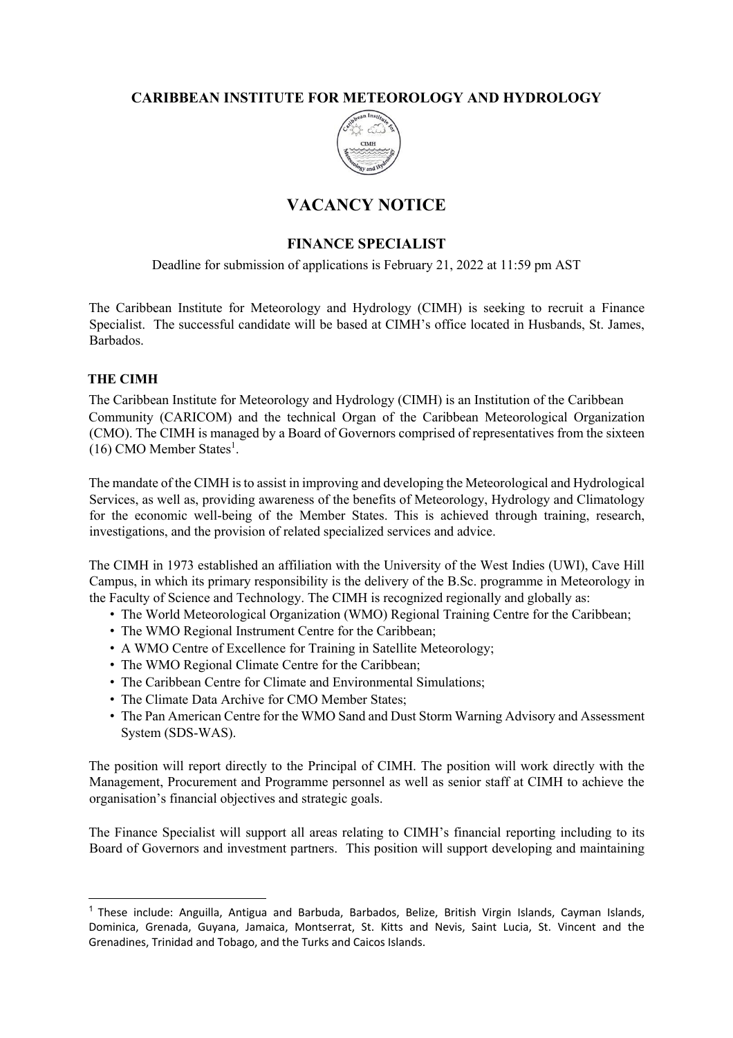## **CARIBBEAN INSTITUTE FOR METEOROLOGY AND HYDROLOGY**



# **VACANCY NOTICE**

## **FINANCE SPECIALIST**

Deadline for submission of applications is February 21, 2022 at 11:59 pm AST

The Caribbean Institute for Meteorology and Hydrology (CIMH) is seeking to recruit a Finance Specialist. The successful candidate will be based at CIMH's office located in Husbands, St. James, Barbados.

#### **THE CIMH**

The Caribbean Institute for Meteorology and Hydrology (CIMH) is an Institution of the Caribbean Community (CARICOM) and the technical Organ of the Caribbean Meteorological Organization (CMO). The CIMH is managed by a Board of Governors comprised of representatives from the sixteen  $(16)$  CMO Member States<sup>1</sup>.

The mandate of the CIMH is to assist in improving and developing the Meteorological and Hydrological Services, as well as, providing awareness of the benefits of Meteorology, Hydrology and Climatology for the economic well-being of the Member States. This is achieved through training, research, investigations, and the provision of related specialized services and advice.

The CIMH in 1973 established an affiliation with the University of the West Indies (UWI), Cave Hill Campus, in which its primary responsibility is the delivery of the B.Sc. programme in Meteorology in the Faculty of Science and Technology. The CIMH is recognized regionally and globally as:

- The World Meteorological Organization (WMO) Regional Training Centre for the Caribbean;
- The WMO Regional Instrument Centre for the Caribbean;
- A WMO Centre of Excellence for Training in Satellite Meteorology;
- The WMO Regional Climate Centre for the Caribbean;
- The Caribbean Centre for Climate and Environmental Simulations;
- The Climate Data Archive for CMO Member States;
- The Pan American Centre for the WMO Sand and Dust Storm Warning Advisory and Assessment System (SDS-WAS).

The position will report directly to the Principal of CIMH. The position will work directly with the Management, Procurement and Programme personnel as well as senior staff at CIMH to achieve the organisation's financial objectives and strategic goals.

The Finance Specialist will support all areas relating to CIMH's financial reporting including to its Board of Governors and investment partners. This position will support developing and maintaining

 $<sup>1</sup>$  These include: Anguilla, Antigua and Barbuda, Barbados, Belize, British Virgin Islands, Cayman Islands,</sup> Dominica, Grenada, Guyana, Jamaica, Montserrat, St. Kitts and Nevis, Saint Lucia, St. Vincent and the Grenadines, Trinidad and Tobago, and the Turks and Caicos Islands.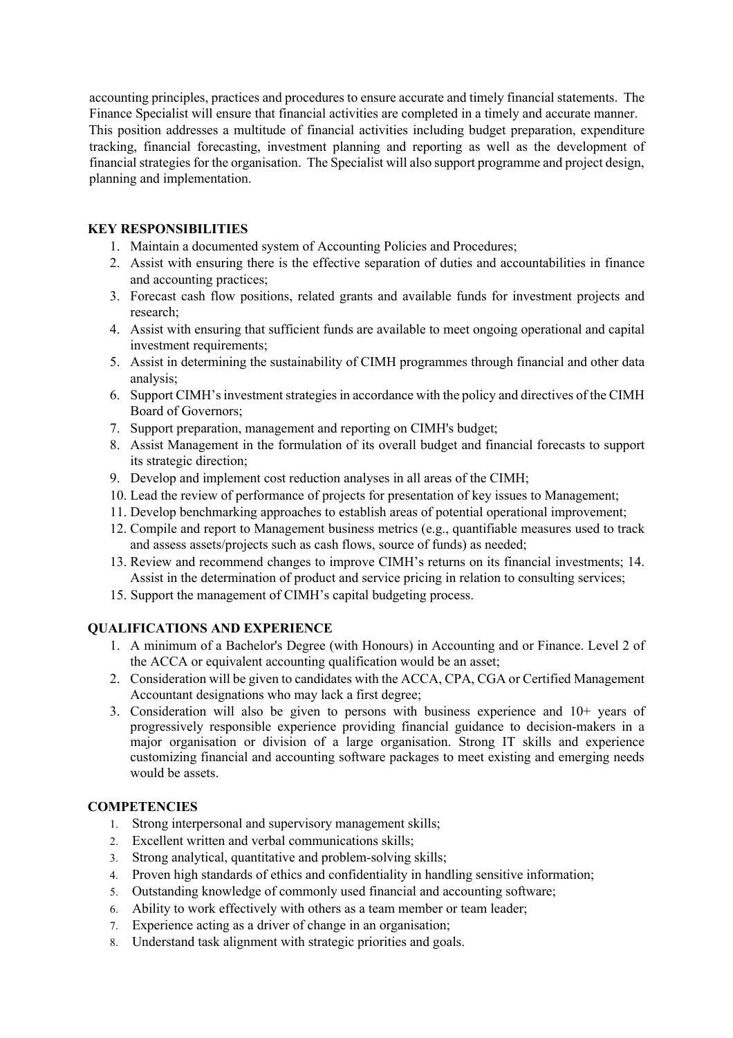accounting principles, practices and procedures to ensure accurate and timely financial statements. The Finance Specialist will ensure that financial activities are completed in a timely and accurate manner. This position addresses a multitude of financial activities including budget preparation, expenditure tracking, financial forecasting, investment planning and reporting as well as the development of financial strategies for the organisation. The Specialist will also support programme and project design, planning and implementation.

### **KEY RESPONSIBILITIES**

- 1. Maintain a documented system of Accounting Policies and Procedures;
- 2. Assist with ensuring there is the effective separation of duties and accountabilities in finance and accounting practices;
- 3. Forecast cash flow positions, related grants and available funds for investment projects and research;
- 4. Assist with ensuring that sufficient funds are available to meet ongoing operational and capital investment requirements;
- 5. Assist in determining the sustainability of CIMH programmes through financial and other data analysis;
- 6. Support CIMH's investment strategies in accordance with the policy and directives of the CIMH Board of Governors;
- 7. Support preparation, management and reporting on CIMH's budget;
- 8. Assist Management in the formulation of its overall budget and financial forecasts to support its strategic direction;
- 9. Develop and implement cost reduction analyses in all areas of the CIMH;
- 10. Lead the review of performance of projects for presentation of key issues to Management;
- 11. Develop benchmarking approaches to establish areas of potential operational improvement;
- 12. Compile and report to Management business metrics (e.g., quantifiable measures used to track and assess assets/projects such as cash flows, source of funds) as needed;
- 13. Review and recommend changes to improve CIMH's returns on its financial investments; 14. Assist in the determination of product and service pricing in relation to consulting services;
- 15. Support the management of CIMH's capital budgeting process.

### **QUALIFICATIONS AND EXPERIENCE**

- 1. A minimum of a Bachelor's Degree (with Honours) in Accounting and or Finance. Level 2 of the ACCA or equivalent accounting qualification would be an asset;
- 2. Consideration will be given to candidates with the ACCA, CPA, CGA or Certified Management Accountant designations who may lack a first degree;
- 3. Consideration will also be given to persons with business experience and 10+ years of progressively responsible experience providing financial guidance to decision-makers in a major organisation or division of a large organisation. Strong IT skills and experience customizing financial and accounting software packages to meet existing and emerging needs would be assets.

### **COMPETENCIES**

- 1. Strong interpersonal and supervisory management skills;
- 2. Excellent written and verbal communications skills;
- 3. Strong analytical, quantitative and problem-solving skills;
- 4. Proven high standards of ethics and confidentiality in handling sensitive information;
- 5. Outstanding knowledge of commonly used financial and accounting software;
- 6. Ability to work effectively with others as a team member or team leader;
- 7. Experience acting as a driver of change in an organisation;
- 8. Understand task alignment with strategic priorities and goals.